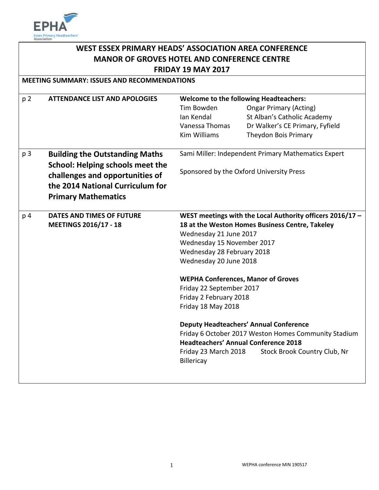

| WEST ESSEX PRIMARY HEADS' ASSOCIATION AREA CONFERENCE |                                         |                                                                                                 |                                 |
|-------------------------------------------------------|-----------------------------------------|-------------------------------------------------------------------------------------------------|---------------------------------|
| <b>MANOR OF GROVES HOTEL AND CONFERENCE CENTRE</b>    |                                         |                                                                                                 |                                 |
| <b>FRIDAY 19 MAY 2017</b>                             |                                         |                                                                                                 |                                 |
| <b>MEETING SUMMARY: ISSUES AND RECOMMENDATIONS</b>    |                                         |                                                                                                 |                                 |
|                                                       |                                         |                                                                                                 |                                 |
| p <sub>2</sub>                                        | <b>ATTENDANCE LIST AND APOLOGIES</b>    | <b>Welcome to the following Headteachers:</b><br>Tim Bowden                                     |                                 |
|                                                       |                                         | Ian Kendal                                                                                      | <b>Ongar Primary (Acting)</b>   |
|                                                       |                                         | Vanessa Thomas                                                                                  | St Alban's Catholic Academy     |
|                                                       |                                         |                                                                                                 | Dr Walker's CE Primary, Fyfield |
|                                                       |                                         | <b>Kim Williams</b>                                                                             | Theydon Bois Primary            |
| p <sub>3</sub>                                        | <b>Building the Outstanding Maths</b>   | Sami Miller: Independent Primary Mathematics Expert<br>Sponsored by the Oxford University Press |                                 |
|                                                       | <b>School: Helping schools meet the</b> |                                                                                                 |                                 |
|                                                       | challenges and opportunities of         |                                                                                                 |                                 |
|                                                       | the 2014 National Curriculum for        |                                                                                                 |                                 |
|                                                       |                                         |                                                                                                 |                                 |
|                                                       | <b>Primary Mathematics</b>              |                                                                                                 |                                 |
| p 4                                                   | <b>DATES AND TIMES OF FUTURE</b>        | WEST meetings with the Local Authority officers 2016/17 -                                       |                                 |
|                                                       | <b>MEETINGS 2016/17 - 18</b>            | 18 at the Weston Homes Business Centre, Takeley                                                 |                                 |
|                                                       |                                         | Wednesday 21 June 2017                                                                          |                                 |
|                                                       |                                         | Wednesday 15 November 2017                                                                      |                                 |
|                                                       |                                         | Wednesday 28 February 2018                                                                      |                                 |
|                                                       |                                         | Wednesday 20 June 2018                                                                          |                                 |
|                                                       |                                         | <b>WEPHA Conferences, Manor of Groves</b>                                                       |                                 |
|                                                       |                                         | Friday 22 September 2017                                                                        |                                 |
|                                                       |                                         | Friday 2 February 2018                                                                          |                                 |
|                                                       |                                         | Friday 18 May 2018                                                                              |                                 |
|                                                       |                                         | <b>Deputy Headteachers' Annual Conference</b>                                                   |                                 |
|                                                       |                                         | Friday 6 October 2017 Weston Homes Community Stadium                                            |                                 |
|                                                       |                                         | <b>Headteachers' Annual Conference 2018</b>                                                     |                                 |
|                                                       |                                         | Friday 23 March 2018<br>Stock Brook Country Club, Nr                                            |                                 |
|                                                       |                                         | Billericay                                                                                      |                                 |
|                                                       |                                         |                                                                                                 |                                 |
|                                                       |                                         |                                                                                                 |                                 |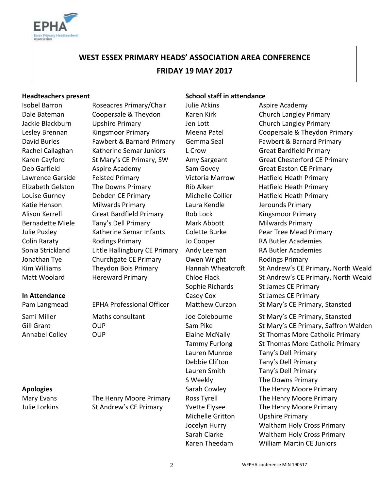

# **WEST ESSEX PRIMARY HEADS' ASSOCIATION AREA CONFERENCE FRIDAY 19 MAY 2017**

Isobel Barron **Roseacres Primary/Chair** Julie Atkins Aspire Academy Dale Bateman Coopersale & Theydon Karen Kirk Church Langley Primary Jackie Blackburn Upshire Primary Jen Lott Church Langley Primary Rachel Callaghan Katherine Semar Juniors L Crow Great Bardfield Primary Deb Garfield **Aspire Academy** Sam Govey Great Easton CE Primary Lawrence Garside Felsted Primary Victoria Marrow Hatfield Heath Primary Elizabeth Gelston The Downs Primary **Rib Aiken** Hatfield Heath Primary Louise Gurney Debden CE Primary Michelle Collier Hatfield Heath Primary Katie Henson Milwards Primary Laura Kendle Jerounds Primary Alison Kerrell **Great Bardfield Primary** Rob Lock Kingsmoor Primary Bernadette Miele Tany's Dell Primary Mark Abbott Milwards Primary Julie Puxley Katherine Semar Infants Colette Burke Pear Tree Mead Primary Colin Raraty Rodings Primary Jo Cooper RA Butler Academies Sonia Strickland Little Hallingbury CE Primary Andy Leeman RA Butler Academies Jonathan Tye Churchgate CE Primary Church Wright Rodings Primary

**Headteachers present School staff in attendance** 

Lesley Brennan Kingsmoor Primary Meena Patel Coopersale & Theydon Primary David Burles Fawbert & Barnard Primary Gemma Seal Fawbert & Barnard Primary Karen Cayford St Mary's CE Primary, SW Amy Sargeant Great Chesterford CE Primary Kim Williams Theydon Bois Primary Hannah Wheatcroft St Andrew's CE Primary, North Weald Matt Woolard Hereward Primary Chloe Flack St Andrew's CE Primary, North Weald Sophie Richards St James CE Primary **In Attendance** and Casey Cox St James CE Primary Pam Langmead EPHA Professional Officer Matthew Curzon St Mary's CE Primary, Stansted Sami Miller Maths consultant Joe Colebourne St Mary's CE Primary, Stansted Gill Grant **CUP** OUP Sam Pike Sam Pike St Mary's CE Primary, Saffron Walden Annabel Colley **COLL COLLET COLLET COLLET COLLET ELAINE ST** Elaine McNally St Thomas More Catholic Primary Tammy Furlong St Thomas More Catholic Primary Lauren Munroe Tany's Dell Primary Debbie Clifton Tany's Dell Primary Lauren Smith Tany's Dell Primary S Weekly The Downs Primary **Apologies** Sarah Cowley The Henry Moore Primary Mary Evans The Henry Moore Primary Ross Tyrell The Henry Moore Primary Julie Lorkins St Andrew's CE Primary Yvette Elysee The Henry Moore Primary Michelle Gritton Upshire Primary Jocelyn Hurry Waltham Holy Cross Primary Sarah Clarke Waltham Holy Cross Primary Karen Theedam William Martin CE Juniors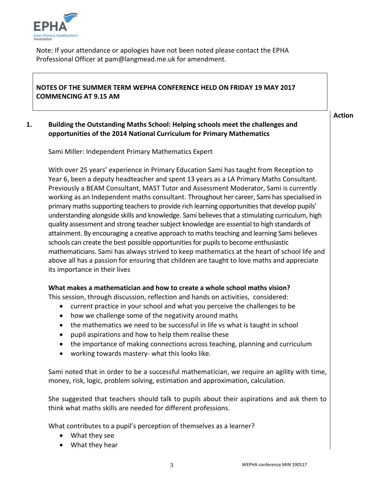

Note: If your attendance or apologies have not been noted please contact the EPHA Professional Officer at pam@langmead.me.uk for amendment.

# **NOTES OF THE SUMMER TERM WEPHA CONFERENCE HELD ON FRIDAY 19 MAY 2017 COMMENCING AT 9.15 AM**

**Action**

# **1. Building the Outstanding Maths School: Helping schools meet the challenges and opportunities of the 2014 National Curriculum for Primary Mathematics**

Sami Miller: Independent Primary Mathematics Expert

With over 25 years' experience in Primary Education Sami has taught from Reception to Year 6, been a deputy headteacher and spent 13 years as a LA Primary Maths Consultant. Previously a BEAM Consultant, MAST Tutor and Assessment Moderator, Sami is currently working as an Independent maths consultant. Throughout her career, Sami has specialised in primary maths supporting teachers to provide rich learning opportunities that develop pupils' understanding alongside skills and knowledge. Sami believes that a stimulating curriculum, high quality assessment and strong teacher subject knowledge are essential to high standards of attainment. By encouraging a creative approach to maths teaching and learning Sami believes schools can create the best possible opportunities for pupils to become enthusiastic mathematicians. Sami has always strived to keep mathematics at the heart of school life and above all has a passion for ensuring that children are taught to love maths and appreciate its importance in their lives

# **What makes a mathematician and how to create a whole school maths vision?**

This session, through discussion, reflection and hands on activities, considered:

- current practice in your school and what you perceive the challenges to be
- how we challenge some of the negativity around maths
- the mathematics we need to be successful in life vs what is taught in school
- pupil aspirations and how to help them realise these
- the importance of making connections across teaching, planning and curriculum
- working towards mastery- what this looks like.

Sami noted that in order to be a successful mathematician, we require an agility with time, money, risk, logic, problem solving, estimation and approximation, calculation.

She suggested that teachers should talk to pupils about their aspirations and ask them to think what maths skills are needed for different professions.

What contributes to a pupil's perception of themselves as a learner?

- What they see
- What they hear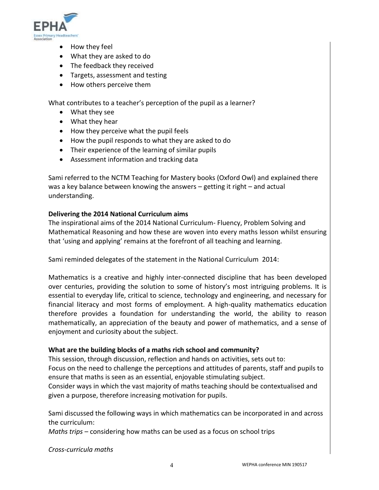

- How they feel
- What they are asked to do
- The feedback they received
- Targets, assessment and testing
- How others perceive them

What contributes to a teacher's perception of the pupil as a learner?

- What they see
- What they hear
- How they perceive what the pupil feels
- How the pupil responds to what they are asked to do
- Their experience of the learning of similar pupils
- Assessment information and tracking data

Sami referred to the NCTM Teaching for Mastery books (Oxford Owl) and explained there was a key balance between knowing the answers – getting it right – and actual understanding.

### **Delivering the 2014 National Curriculum aims**

The inspirational aims of the 2014 National Curriculum- Fluency, Problem Solving and Mathematical Reasoning and how these are woven into every maths lesson whilst ensuring that 'using and applying' remains at the forefront of all teaching and learning.

Sami reminded delegates of the statement in the National Curriculum 2014:

Mathematics is a creative and highly inter-connected discipline that has been developed over centuries, providing the solution to some of history's most intriguing problems. It is essential to everyday life, critical to science, technology and engineering, and necessary for financial literacy and most forms of employment. A high-quality mathematics education therefore provides a foundation for understanding the world, the ability to reason mathematically, an appreciation of the beauty and power of mathematics, and a sense of enjoyment and curiosity about the subject.

### **What are the building blocks of a maths rich school and community?**

This session, through discussion, reflection and hands on activities, sets out to: Focus on the need to challenge the perceptions and attitudes of parents, staff and pupils to ensure that maths is seen as an essential, enjoyable stimulating subject.

Consider ways in which the vast majority of maths teaching should be contextualised and given a purpose, therefore increasing motivation for pupils.

Sami discussed the following ways in which mathematics can be incorporated in and across the curriculum:

*Maths trips* – considering how maths can be used as a focus on school trips

*Cross-curricula maths*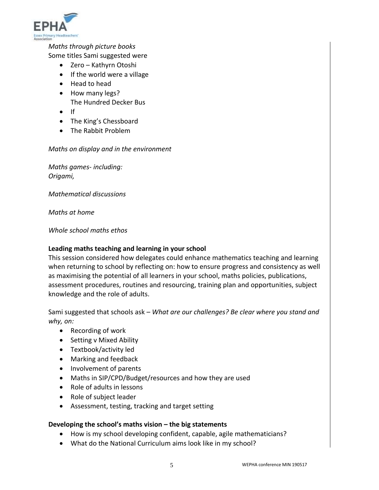

# *Maths through picture books*

Some titles Sami suggested were

- Zero Kathyrn Otoshi
- If the world were a village
- Head to head
- How many legs? The Hundred Decker Bus
- $\bullet$  If
- The King's Chessboard
- The Rabbit Problem

#### *Maths on display and in the environment*

*Maths games- including: Origami,* 

*Mathematical discussions*

*Maths at home*

*Whole school maths ethos* 

### **Leading maths teaching and learning in your school**

This session considered how delegates could enhance mathematics teaching and learning when returning to school by reflecting on: how to ensure progress and consistency as well as maximising the potential of all learners in your school, maths policies, publications, assessment procedures, routines and resourcing, training plan and opportunities, subject knowledge and the role of adults.

Sami suggested that schools ask – *What are our challenges? Be clear where you stand and why, on:*

- Recording of work
- Setting v Mixed Ability
- Textbook/activity led
- Marking and feedback
- Involvement of parents
- Maths in SIP/CPD/Budget/resources and how they are used
- Role of adults in lessons
- Role of subject leader
- Assessment, testing, tracking and target setting

### **Developing the school's maths vision – the big statements**

- How is my school developing confident, capable, agile mathematicians?
- What do the National Curriculum aims look like in my school?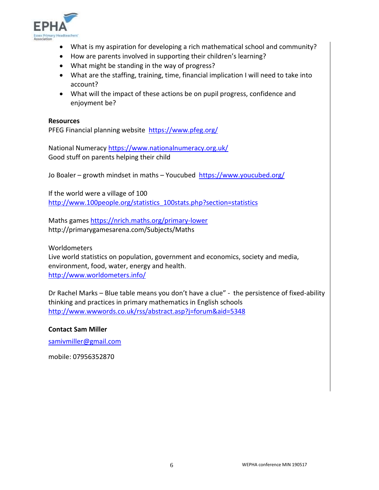

- What is my aspiration for developing a rich mathematical school and community?
- How are parents involved in supporting their children's learning?
- What might be standing in the way of progress?
- What are the staffing, training, time, financial implication I will need to take into account?
- What will the impact of these actions be on pupil progress, confidence and enjoyment be?

#### **Resources**

PFEG Financial planning website <https://www.pfeg.org/>

National Numeracy<https://www.nationalnumeracy.org.uk/> Good stuff on parents helping their child

Jo Boaler – growth mindset in maths – Youcubed <https://www.youcubed.org/>

If the world were a village of 100 [http://www.100people.org/statistics\\_100stats.php?section=statistics](http://www.100people.org/statistics_100stats.php?section=statistics)

Maths games<https://nrich.maths.org/primary-lower> http://primarygamesarena.com/Subjects/Maths

**Worldometers** 

Live world statistics on population, government and economics, society and media, environment, food, water, energy and health. <http://www.worldometers.info/>

Dr Rachel Marks – Blue table means you don't have a clue" - the persistence of fixed-ability thinking and practices in primary mathematics in English schools <http://www.wwwords.co.uk/rss/abstract.asp?j=forum&aid=5348>

### **Contact Sam Miller**

[samivmiller@gmail.com](mailto:samivmiller@gmail.com)

mobile: 07956352870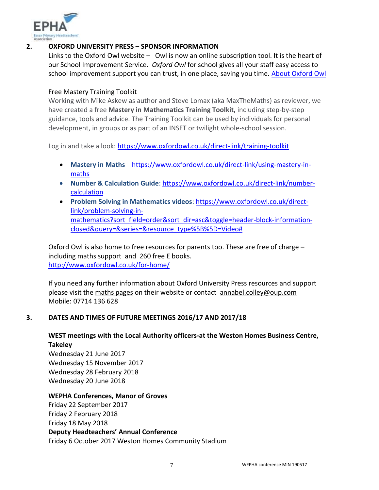

# **2. OXFORD UNIVERSITY PRESS – SPONSOR INFORMATION**

Links to the Oxford Owl website – Owl is now an online subscription tool. It is the heart of our School Improvement Service. *Oxford Owl* for school gives all your staff easy access to school improvement support you can trust, in one place, saving you time. [About Oxford Owl](http://oup.ctml2.com/edu_oxforduniversitypresslz/lz.aspx?p1=053648885S7255&CC=&w=25575&cID=0&cValue=1)

### Free Mastery Training Toolkit

Working with Mike Askew as author and Steve Lomax (aka MaxTheMaths) as reviewer, we have created a free **Mastery in Mathematics Training Toolkit,** including step-by-step guidance, tools and advice. The Training Toolkit can be used by individuals for personal development, in groups or as part of an INSET or twilight whole-school session.

Log in and take a look: <https://www.oxfordowl.co.uk/direct-link/training-toolkit>

- **Mastery in Maths** [https://www.oxfordowl.co.uk/direct-link/using-mastery-in](https://www.oxfordowl.co.uk/direct-link/using-mastery-in-maths)[maths](https://www.oxfordowl.co.uk/direct-link/using-mastery-in-maths)
- **Number & Calculation Guide**: [https://www.oxfordowl.co.uk/direct-link/number](https://www.oxfordowl.co.uk/direct-link/number-calculation)[calculation](https://www.oxfordowl.co.uk/direct-link/number-calculation)
- **Problem Solving in Mathematics videos**: [https://www.oxfordowl.co.uk/direct](https://www.oxfordowl.co.uk/direct-link/problem-solving-in-mathematics?sort_field=order&sort_dir=asc&toggle=header-block-information-closed&query=&series=&resource_type%5B%5D=Video)[link/problem-solving-in](https://www.oxfordowl.co.uk/direct-link/problem-solving-in-mathematics?sort_field=order&sort_dir=asc&toggle=header-block-information-closed&query=&series=&resource_type%5B%5D=Video)[mathematics?sort\\_field=order&sort\\_dir=asc&toggle=header-block-information](https://www.oxfordowl.co.uk/direct-link/problem-solving-in-mathematics?sort_field=order&sort_dir=asc&toggle=header-block-information-closed&query=&series=&resource_type%5B%5D=Video)[closed&query=&series=&resource\\_type%5B%5D=Video#](https://www.oxfordowl.co.uk/direct-link/problem-solving-in-mathematics?sort_field=order&sort_dir=asc&toggle=header-block-information-closed&query=&series=&resource_type%5B%5D=Video)

Oxford Owl is also home to free resources for parents too. These are free of charge – including maths support and 260 free E books. <http://www.oxfordowl.co.uk/for-home/>

If you need any further information about Oxford University Press resources and support please visit th[e maths pages](https://global.oup.com/education/primary/subjects/maths/?region=uk) on their website or contact [annabel.colley@oup.com](mailto:annabel.colley@oup.com) Mobile: 07714 136 628

# **3. DATES AND TIMES OF FUTURE MEETINGS 2016/17 AND 2017/18**

# **WEST meetings with the Local Authority officers-at the Weston Homes Business Centre, Takeley**

Wednesday 21 June 2017 Wednesday 15 November 2017 Wednesday 28 February 2018 Wednesday 20 June 2018

### **WEPHA Conferences, Manor of Groves**

Friday 22 September 2017 Friday 2 February 2018 Friday 18 May 2018 **Deputy Headteachers' Annual Conference** Friday 6 October 2017 Weston Homes Community Stadium